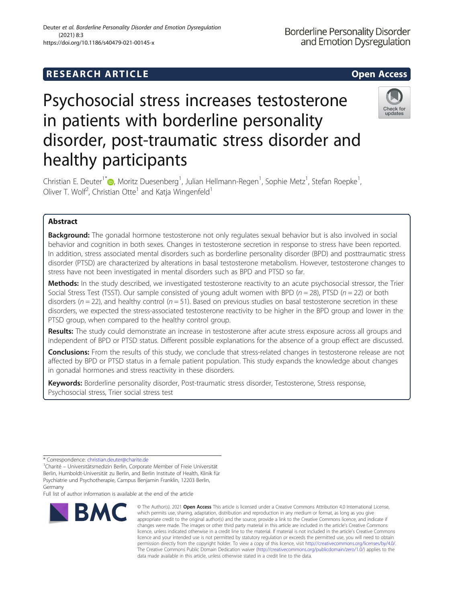## **RESEARCH ARTICLE Example 2014 12:30 The SEAR CH ACCESS**

# Psychosocial stress increases testosterone in patients with borderline personality disorder, post-traumatic stress disorder and healthy participants



Christian E. Deuter<sup>1\*</sup>�[,](http://orcid.org/0000-0001-6880-5946) Moritz Duesenberg<sup>1</sup>, Julian Hellmann-Regen<sup>1</sup>, Sophie Metz<sup>1</sup>, Stefan Roepke<sup>1</sup> , Oliver T. Wolf<sup>2</sup>, Christian Otte<sup>1</sup> and Katja Wingenfeld<sup>1</sup>

### Abstract

**Background:** The gonadal hormone testosterone not only regulates sexual behavior but is also involved in social behavior and cognition in both sexes. Changes in testosterone secretion in response to stress have been reported. In addition, stress associated mental disorders such as borderline personality disorder (BPD) and posttraumatic stress disorder (PTSD) are characterized by alterations in basal testosterone metabolism. However, testosterone changes to stress have not been investigated in mental disorders such as BPD and PTSD so far.

Methods: In the study described, we investigated testosterone reactivity to an acute psychosocial stressor, the Trier Social Stress Test (TSST). Our sample consisted of young adult women with BPD ( $n = 28$ ), PTSD ( $n = 22$ ) or both disorders ( $n = 22$ ), and healthy control ( $n = 51$ ). Based on previous studies on basal testosterone secretion in these disorders, we expected the stress-associated testosterone reactivity to be higher in the BPD group and lower in the PTSD group, when compared to the healthy control group.

Results: The study could demonstrate an increase in testosterone after acute stress exposure across all groups and independent of BPD or PTSD status. Different possible explanations for the absence of a group effect are discussed.

Conclusions: From the results of this study, we conclude that stress-related changes in testosterone release are not affected by BPD or PTSD status in a female patient population. This study expands the knowledge about changes in gonadal hormones and stress reactivity in these disorders.

Keywords: Borderline personality disorder, Post-traumatic stress disorder, Testosterone, Stress response, Psychosocial stress, Trier social stress test

\* Correspondence: [christian.deuter@charite.de](mailto:christian.deuter@charite.de) <sup>1</sup>

<sup>1</sup>Charité – Universitätsmedizin Berlin, Corporate Member of Freie Universität Berlin, Humboldt-Universität zu Berlin, and Berlin Institute of Health, Klinik für Psychiatrie und Psychotherapie, Campus Benjamin Franklin, 12203 Berlin, Germany

Full list of author information is available at the end of the article



© The Author(s), 2021 **Open Access** This article is licensed under a Creative Commons Attribution 4.0 International License, which permits use, sharing, adaptation, distribution and reproduction in any medium or format, as long as you give appropriate credit to the original author(s) and the source, provide a link to the Creative Commons licence, and indicate if changes were made. The images or other third party material in this article are included in the article's Creative Commons licence, unless indicated otherwise in a credit line to the material. If material is not included in the article's Creative Commons licence and your intended use is not permitted by statutory regulation or exceeds the permitted use, you will need to obtain permission directly from the copyright holder. To view a copy of this licence, visit [http://creativecommons.org/licenses/by/4.0/.](http://creativecommons.org/licenses/by/4.0/) The Creative Commons Public Domain Dedication waiver [\(http://creativecommons.org/publicdomain/zero/1.0/](http://creativecommons.org/publicdomain/zero/1.0/)) applies to the data made available in this article, unless otherwise stated in a credit line to the data.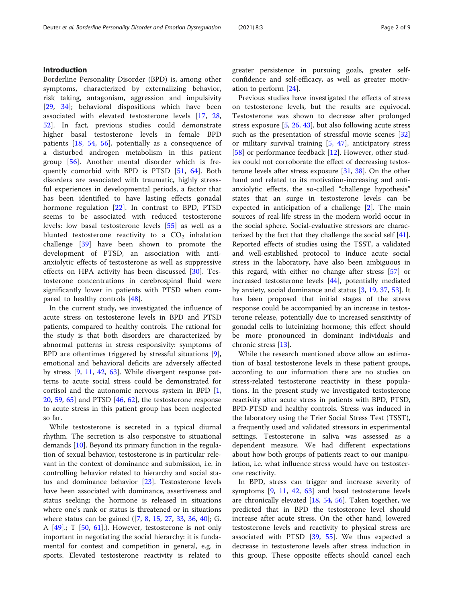#### Introduction

Borderline Personality Disorder (BPD) is, among other symptoms, characterized by externalizing behavior, risk taking, antagonism, aggression and impulsivity [[29,](#page-7-0) [34](#page-8-0)]; behavioral dispositions which have been associated with elevated testosterone levels [[17,](#page-7-0) [28](#page-7-0), [52\]](#page-8-0). In fact, previous studies could demonstrate higher basal testosterone levels in female BPD patients [[18,](#page-7-0) [54,](#page-8-0) [56](#page-8-0)], potentially as a consequence of a disturbed androgen metabolism in this patient group [\[56](#page-8-0)]. Another mental disorder which is frequently comorbid with BPD is PTSD [\[51](#page-8-0), [64\]](#page-8-0). Both disorders are associated with traumatic, highly stressful experiences in developmental periods, a factor that has been identified to have lasting effects gonadal hormone regulation [[22\]](#page-7-0). In contrast to BPD, PTSD seems to be associated with reduced testosterone levels: low basal testosterone levels [\[55](#page-8-0)] as well as a blunted testosterone reactivity to a  $CO<sub>2</sub>$  inhalation challenge [[39\]](#page-8-0) have been shown to promote the development of PTSD, an association with antianxiolytic effects of testosterone as well as suppressive effects on HPA activity has been discussed [[30\]](#page-8-0). Testosterone concentrations in cerebrospinal fluid were significantly lower in patients with PTSD when compared to healthy controls [[48\]](#page-8-0).

In the current study, we investigated the influence of acute stress on testosterone levels in BPD and PTSD patients, compared to healthy controls. The rational for the study is that both disorders are characterized by abnormal patterns in stress responsivity: symptoms of BPD are oftentimes triggered by stressful situations [\[9](#page-7-0)], emotional and behavioral deficits are adversely affected by stress [\[9](#page-7-0), [11](#page-7-0), [42](#page-8-0), [63\]](#page-8-0). While divergent response patterns to acute social stress could be demonstrated for cortisol and the autonomic nervous system in BPD [\[1](#page-7-0), [20,](#page-7-0) [59,](#page-8-0) [65\]](#page-8-0) and PTSD [\[46](#page-8-0), [62](#page-8-0)], the testosterone response to acute stress in this patient group has been neglected so far.

While testosterone is secreted in a typical diurnal rhythm. The secretion is also responsive to situational demands [\[10](#page-7-0)]. Beyond its primary function in the regulation of sexual behavior, testosterone is in particular relevant in the context of dominance and submission, i.e. in controlling behavior related to hierarchy and social status and dominance behavior [\[23](#page-7-0)]. Testosterone levels have been associated with dominance, assertiveness and status seeking; the hormone is released in situations where one's rank or status is threatened or in situations where status can be gained ([\[7](#page-7-0), [8,](#page-7-0) [15](#page-7-0), [27,](#page-7-0) [33](#page-8-0), [36,](#page-8-0) [40](#page-8-0)]; G. A  $[49]$ .; T  $[50, 61]$  $[50, 61]$  $[50, 61]$  $[50, 61]$ .). However, testosterone is not only important in negotiating the social hierarchy: it is fundamental for contest and competition in general, e.g. in sports. Elevated testosterone reactivity is related to greater persistence in pursuing goals, greater selfconfidence and self-efficacy, as well as greater motivation to perform [[24\]](#page-7-0).

Previous studies have investigated the effects of stress on testosterone levels, but the results are equivocal. Testosterone was shown to decrease after prolonged stress exposure [[5,](#page-7-0) [26,](#page-7-0) [43\]](#page-8-0), but also following acute stress such as the presentation of stressful movie scenes [[32](#page-8-0)] or military survival training [[5,](#page-7-0) [47](#page-8-0)], anticipatory stress [[58\]](#page-8-0) or performance feedback [[12\]](#page-7-0). However, other studies could not corroborate the effect of decreasing testosterone levels after stress exposure [[31](#page-8-0), [38\]](#page-8-0). On the other hand and related to its motivation-increasing and antianxiolytic effects, the so-called "challenge hypothesis" states that an surge in testosterone levels can be expected in anticipation of a challenge [\[2](#page-7-0)]. The main sources of real-life stress in the modern world occur in the social sphere. Social-evaluative stressors are characterized by the fact that they challenge the social self [\[41](#page-8-0)]. Reported effects of studies using the TSST, a validated and well-established protocol to induce acute social stress in the laboratory, have also been ambiguous in this regard, with either no change after stress [[57\]](#page-8-0) or increased testosterone levels [[44\]](#page-8-0), potentially mediated by anxiety, social dominance and status [[3,](#page-7-0) [19,](#page-7-0) [37,](#page-8-0) [53\]](#page-8-0). It has been proposed that initial stages of the stress response could be accompanied by an increase in testosterone release, potentially due to increased sensitivity of gonadal cells to luteinizing hormone; this effect should be more pronounced in dominant individuals and chronic stress [\[13](#page-7-0)].

While the research mentioned above allow an estimation of basal testosterone levels in these patient groups, according to our information there are no studies on stress-related testosterone reactivity in these populations. In the present study we investigated testosterone reactivity after acute stress in patients with BPD, PTSD, BPD-PTSD and healthy controls. Stress was induced in the laboratory using the Trier Social Stress Test (TSST), a frequently used and validated stressors in experimental settings. Testosterone in saliva was assessed as a dependent measure. We had different expectations about how both groups of patients react to our manipulation, i.e. what influence stress would have on testosterone reactivity.

In BPD, stress can trigger and increase severity of symptoms [\[9](#page-7-0), [11](#page-7-0), [42,](#page-8-0) [63](#page-8-0)] and basal testosterone levels are chronically elevated  $[18, 54, 56]$  $[18, 54, 56]$  $[18, 54, 56]$  $[18, 54, 56]$  $[18, 54, 56]$  $[18, 54, 56]$ . Taken together, we predicted that in BPD the testosterone level should increase after acute stress. On the other hand, lowered testosterone levels and reactivity to physical stress are associated with PTSD [\[39](#page-8-0), [55\]](#page-8-0). We thus expected a decrease in testosterone levels after stress induction in this group. These opposite effects should cancel each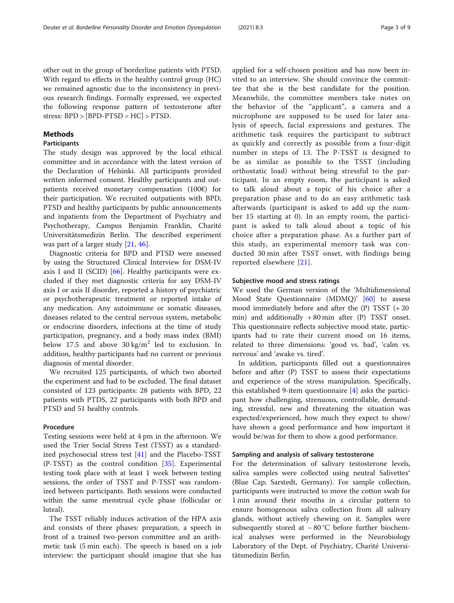other out in the group of borderline patients with PTSD. With regard to effects in the healthy control group (HC) we remained agnostic due to the inconsistency in previous research findings. Formally expressed, we expected the following response pattern of testosterone after stress: BPD > [BPD-PTSD = HC] > PTSD.

#### **Methods**

#### Participants

The study design was approved by the local ethical committee and in accordance with the latest version of the Declaration of Helsinki. All participants provided written informed consent. Healthy participants and outpatients received monetary compensation (100€) for their participation. We recruited outpatients with BPD, PTSD and healthy participants by public announcements and inpatients from the Department of Psychiatry and Psychotherapy, Campus Benjamin Franklin, Charité Universitätsmedizin Berlin. The described experiment was part of a larger study [[21](#page-7-0), [46](#page-8-0)].

Diagnostic criteria for BPD and PTSD were assessed by using the Structured Clinical Interview for DSM-IV axis I and II (SCID)  $[66]$ . Healthy participants were excluded if they met diagnostic criteria for any DSM-IV axis I or axis II disorder, reported a history of psychiatric or psychotherapeutic treatment or reported intake of any medication. Any autoimmune or somatic diseases, diseases related to the central nervous system, metabolic or endocrine disorders, infections at the time of study participation, pregnancy, and a body mass index (BMI) below 17.5 and above  $30 \text{ kg/m}^2$  led to exclusion. In addition, healthy participants had no current or previous diagnosis of mental disorder.

We recruited 125 participants, of which two aborted the experiment and had to be excluded. The final dataset consisted of 123 participants: 28 patients with BPD, 22 patients with PTDS, 22 participants with both BPD and PTSD and 51 healthy controls.

#### Procedure

Testing sessions were held at 4 pm in the afternoon. We used the Trier Social Stress Test (TSST) as a standardized psychosocial stress test [[41\]](#page-8-0) and the Placebo-TSST  $(P-TSST)$  as the control condition [[35](#page-8-0)]. Experimental testing took place with at least 1 week between testing sessions, the order of TSST and P-TSST was randomized between participants. Both sessions were conducted within the same menstrual cycle phase (follicular or luteal).

The TSST reliably induces activation of the HPA axis and consists of three phases: preparation, a speech in front of a trained two-person committee and an arithmetic task (5 min each). The speech is based on a job interview: the participant should imagine that she has applied for a self-chosen position and has now been invited to an interview. She should convince the committee that she is the best candidate for the position. Meanwhile, the committee members take notes on the behavior of the "applicant", a camera and a microphone are supposed to be used for later analysis of speech, facial expressions and gestures. The arithmetic task requires the participant to subtract as quickly and correctly as possible from a four-digit number in steps of 13. The P-TSST is designed to be as similar as possible to the TSST (including orthostatic load) without being stressful to the participant. In an empty room, the participant is asked to talk aloud about a topic of his choice after a preparation phase and to do an easy arithmetic task afterwards (participant is asked to add up the number 15 starting at 0). In an empty room, the participant is asked to talk aloud about a topic of his choice after a preparation phase. As a further part of this study, an experimental memory task was conducted 30 min after TSST onset, with findings being reported elsewhere [[21\]](#page-7-0).

#### Subjective mood and stress ratings

We used the German version of the 'Multidimensional Mood State Questionnaire (MDMQ)' [[60](#page-8-0)] to assess mood immediately before and after the (P) TSST (+ 20 min) and additionally  $+80$  min after (P) TSST onset. This questionnaire reflects subjective mood state, participants had to rate their current mood on 16 items, related to three dimensions: 'good vs. bad', 'calm vs. nervous' and 'awake vs. tired'.

In addition, participants filled out a questionnaires before and after (P) TSST to assess their expectations and experience of the stress manipulation. Specifically, this established 9-item questionnaire [[4\]](#page-7-0) asks the participant how challenging, strenuous, controllable, demanding, stressful, new and threatening the situation was expected/experienced, how much they expect to show/ have shown a good performance and how important it would be/was for them to show a good performance.

#### Sampling and analysis of salivary testosterone

For the determination of salivary testosterone levels, saliva samples were collected using neutral Salivettes® (Blue Cap; Sarstedt, Germany). For sample collection, participants were instructed to move the cotton swab for 1 min around their mouths in a circular pattern to ensure homogenous saliva collection from all salivary glands, without actively chewing on it. Samples were subsequently stored at − 80 °C before further biochemical analyses were performed in the Neurobiology Laboratory of the Dept. of Psychiatry, Charité Universitätsmedizin Berlin.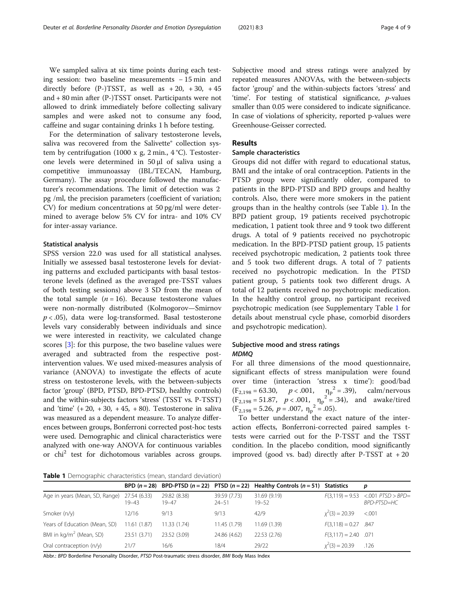We sampled saliva at six time points during each testing session: two baseline measurements − 15 min and directly before  $(P-)T SST$ , as well as  $+ 20$ ,  $+ 30$ ,  $+ 45$ and + 80 min after (P-)TSST onset. Participants were not allowed to drink immediately before collecting salivary samples and were asked not to consume any food, caffeine and sugar containing drinks 1 h before testing.

For the determination of salivary testosterone levels, saliva was recovered from the Salivette® collection system by centrifugation (1000 x g, 2 min.,  $4^{\circ}$ C). Testosterone levels were determined in 50 μl of saliva using a competitive immunoassay (IBL/TECAN, Hamburg, Germany). The assay procedure followed the manufacturer's recommendations. The limit of detection was 2 pg /ml, the precision parameters (coefficient of variation; CV) for medium concentrations at 50 pg/ml were determined to average below 5% CV for intra- and 10% CV for inter-assay variance.

#### Statistical analysis

SPSS version 22.0 was used for all statistical analyses. Initially we assessed basal testosterone levels for deviating patterns and excluded participants with basal testosterone levels (defined as the averaged pre-TSST values of both testing sessions) above 3 SD from the mean of the total sample  $(n = 16)$ . Because testosterone values were non-normally distributed (Kolmogorov—Smirnov  $p < .05$ ), data were log-transformed. Basal testosterone levels vary considerably between individuals and since we were interested in reactivity, we calculated change scores [\[3](#page-7-0)]: for this purpose, the two baseline values were averaged and subtracted from the respective postintervention values. We used mixed-measures analysis of variance (ANOVA) to investigate the effects of acute stress on testosterone levels, with the between-subjects factor 'group' (BPD, PTSD, BPD-PTSD, healthy controls) and the within-subjects factors 'stress' (TSST vs. P-TSST) and 'time'  $(+20, +30, +45, +80)$ . Testosterone in saliva was measured as a dependent measure. To analyze differences between groups, Bonferroni corrected post-hoc tests were used. Demographic and clinical characteristics were analyzed with one-way ANOVA for continuous variables or chi2 test for dichotomous variables across groups.

Subjective mood and stress ratings were analyzed by repeated measures ANOVAs, with the between-subjects factor 'group' and the within-subjects factors 'stress' and 'time'. For testing of statistical significance, p-values smaller than 0.05 were considered to indicate significance. In case of violations of sphericity, reported p-values were Greenhouse-Geisser corrected.

#### Results

#### Sample characteristics

Groups did not differ with regard to educational status, BMI and the intake of oral contraception. Patients in the PTSD group were significantly older, compared to patients in the BPD-PTSD and BPD groups and healthy controls. Also, there were more smokers in the patient groups than in the healthy controls (see Table 1). In the BPD patient group, 19 patients received psychotropic medication, 1 patient took three and 9 took two different drugs. A total of 9 patients received no psychotropic medication. In the BPD-PTSD patient group, 15 patients received psychotropic medication, 2 patients took three and 5 took two different drugs. A total of 7 patients received no psychotropic medication. In the PTSD patient group, 5 patients took two different drugs. A total of 12 patients received no psychotropic medication. In the healthy control group, no participant received psychotropic medication (see Supplementary Table [1](#page-6-0) for details about menstrual cycle phase, comorbid disorders and psychotropic medication).

#### Subjective mood and stress ratings MDMQ

For all three dimensions of the mood questionnaire, significant effects of stress manipulation were found over time (interaction 'stress x time'): good/bad  $(F_{2,198} = 63.30, p < .001, \eta_p^2 = .39),$ calm/nervous  $(F_{2,198} = 51.87, p < .001, \eta_p^2 = .34)$ , and awake/tired  $(F_{2,198} = 5.26, p = .007, \eta_p^2 = .05).$ 

To better understand the exact nature of the interaction effects, Bonferroni-corrected paired samples ttests were carried out for the P-TSST and the TSST condition. In the placebo condition, mood significantly improved (good vs. bad) directly after P-TSST at  $+20$ 

**Table 1** Demographic characteristics (mean, standard deviation)

|                                     |                           |                       |                           | BPD $(n = 28)$ BPD-PTSD $(n = 22)$ PTSD $(n = 22)$ Healthy Controls $(n = 51)$ Statistics |                        | p                                     |
|-------------------------------------|---------------------------|-----------------------|---------------------------|-------------------------------------------------------------------------------------------|------------------------|---------------------------------------|
| Age in years (Mean, SD, Range)      | 27.54 (6.33)<br>$19 - 43$ | 29.82 (8.38)<br>19-47 | 39.59 (7.73)<br>$24 - 51$ | 31.69 (9.19)<br>$19 - 52$                                                                 | $F(3,119) = 9.53$      | $< .001$ PTSD $>$ BPD=<br>BPD-PTSD=HC |
| Smoker $(n/y)$                      | 12/16                     | 9/13                  | 9/13                      | 42/9                                                                                      | $x^2(3) = 20.39$       | < 0.001                               |
| Years of Education (Mean, SD)       | 11.61 (1.87)              | 11.33 (1.74)          | 11.45 (1.79)              | 11.69 (1.39)                                                                              | $F(3,118) = 0.27$ .847 |                                       |
| BMI in kg/m <sup>2</sup> (Mean, SD) | 23.51 (3.71)              | 23.52 (3.09)          | 24.86 (4.62)              | 22.53 (2.76)                                                                              | $F(3,117) = 2.40$ .071 |                                       |
| Oral contraception $(n/y)$          | 21/7                      | 16/6                  | 18/4                      | 29/22                                                                                     | $x^2(3) = 20.39$       | .126                                  |

Abbr.: BPD Borderline Personality Disorder, PTSD Post-traumatic stress disorder, BMI Body Mass Index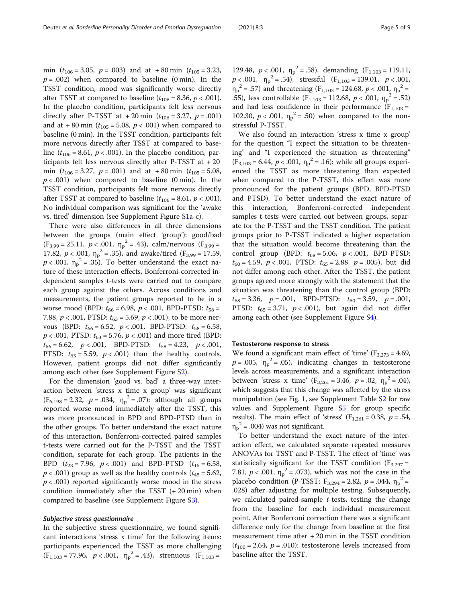min ( $t_{106} = 3.05$ ,  $p = .003$ ) and at +80 min ( $t_{105} = 3.23$ ,  $p = .002$ ) when compared to baseline (0 min). In the TSST condition, mood was significantly worse directly after TSST at compared to baseline  $(t_{106} = 8.36, p < .001)$ . In the placebo condition, participants felt less nervous directly after P-TSST at  $+20$  min  $(t_{106} = 3.27, p = .001)$ and at  $+80$  min ( $t_{105} = 5.08$ ,  $p < .001$ ) when compared to baseline (0 min). In the TSST condition, participants felt more nervous directly after TSST at compared to baseline  $(t_{106} = 8.61, p < .001)$ . In the placebo condition, participants felt less nervous directly after P-TSST at + 20 min  $(t_{106} = 3.27, p = .001)$  and at +80 min  $(t_{105} = 5.08,$  $p < .001$ ) when compared to baseline (0 min). In the TSST condition, participants felt more nervous directly after TSST at compared to baseline  $(t_{106} = 8.61, p < .001)$ . No individual comparison was significant for the 'awake vs. tired' dimension (see Supplement Figure S[1a](#page-6-0)-c).

There were also differences in all three dimensions between the groups (main effect 'group'): good/bad  $(F_{3,99} = 25.11, p < .001, \eta_p^2 = .43)$ , calm/nervous  $(F_{3,99} =$ 17.82,  $p < .001$ ,  $\eta_p^2 = .35$ ), and awake/tired (F<sub>3,99</sub> = 17.59,  $p < .001$ ,  $\eta_p^2 = .35$ ). To better understand the exact nature of these interaction effects, Bonferroni-corrected independent samples t-tests were carried out to compare each group against the others. Across conditions and measurements, the patient groups reported to be in a worse mood (BPD:  $t_{66} = 6.98$ ,  $p < .001$ , BPD-PTSD:  $t_{58} =$ 7.88,  $p < .001$ , PTSD:  $t_{63} = 5.69$ ,  $p < .001$ ), to be more nervous (BPD:  $t_{66} = 6.52$ ,  $p < .001$ , BPD-PTSD:  $t_{58} = 6.58$ ,  $p < .001$ , PTSD:  $t_{63} = 5.76$ ,  $p < .001$ ) and more tired (BPD:  $t_{66} = 6.62$ ,  $p < .001$ , BPD-PTSD:  $t_{58} = 4.23$ ,  $p < .001$ , PTSD:  $t_{63} = 5.59$ ,  $p < .001$ ) than the healthy controls. However, patient groups did not differ significantly among each other (see Supplement Figure S[2\)](#page-6-0).

For the dimension 'good vs. bad' a three-way interaction between 'stress x time x group' was significant  $(F_{6,198} = 2.32, p = .034, \eta_p^2 = .07)$ : although all groups reported worse mood immediately after the TSST, this was more pronounced in BPD and BPD-PTSD than in the other groups. To better understand the exact nature of this interaction, Bonferroni-corrected paired samples t-tests were carried out for the P-TSST and the TSST condition, separate for each group. The patients in the BPD  $(t_{23} = 7.96, p < .001)$  and BPD-PTSD  $(t_{15} = 6.58,$  $p < .001$ ) group as well as the healthy controls ( $t_{45} = 5.62$ ,  $p < .001$ ) reported significantly worse mood in the stress condition immediately after the TSST (+ 20 min) when compared to baseline (see Supplement Figure [S3](#page-6-0)).

#### Subjective stress questionnaire

In the subjective stress questionnaire, we found significant interactions 'stress x time' for the following items: participants experienced the TSST as more challenging  $(F_{1,103} = 77.96, p < .001, \eta_p^2 = .43)$ , strenuous  $(F_{1,103} =$ 

129.48,  $p < .001$ ,  $\eta_p^2 = .58$ ), demanding  $(F_{1,103} = 119.11)$  $p < .001$ ,  $\eta_p^2 = .54$ ), stressful (F<sub>1,103</sub> = 139.01,  $p < .001$ ,  $\eta_p^2$  = .57) and threatening (F<sub>1,103</sub> = 124.68, *p* < .001,  $\eta_p^2$  = .55), less controllable ( $F_{1,103} = 112.68$ ,  $p < .001$ ,  $\eta_p^2 = .52$ ) and had less confidence in their performance ( $F_{1,103}$  = 102.30,  $p < .001$ ,  $\eta_p^2 = .50$ ) when compared to the nonstressful P-TSST.

We also found an interaction 'stress x time x group' for the question "I expect the situation to be threatening" and "I experienced the situation as threatening"  $(F_{3,103} = 6.44, p < .001, \eta_p^2 = .16)$ : while all groups experienced the TSST as more threatening than expected when compared to the P-TSST, this effect was more pronounced for the patient groups (BPD, BPD-PTSD and PTSD). To better understand the exact nature of this interaction, Bonferroni-corrected independent samples t-tests were carried out between groups, separate for the P-TSST and the TSST condition. The patient groups prior to P-TSST indicated a higher expectation that the situation would become threatening than the control group (BPD:  $t_{68} = 5.06$ ,  $p < .001$ , BPD-PTSD:  $t_{60} = 4.59$ ,  $p < .001$ , PTSD:  $t_{65} = 2.88$ ,  $p = .005$ ), but did not differ among each other. After the TSST, the patient groups agreed more strongly with the statement that the situation was threatening than the control group (BPD:  $t_{68} = 3.36$ ,  $p = .001$ , BPD-PTSD:  $t_{60} = 3.59$ ,  $p = .001$ , PTSD:  $t_{65} = 3.71$ ,  $p < .001$ ), but again did not differ among each other (see Supplement Figure S[4\)](#page-6-0).

#### Testosterone response to stress

We found a significant main effect of 'time'  $(F_{3,273} = 4.69,$  $p = .005$ ,  $\eta_p^2 = .05$ ), indicating changes in testosterone levels across measurements, and a significant interaction between 'stress x time'  $(F_{3,261} = 3.46, p = .02, \eta_p^2 = .04)$ which suggests that this change was affected by the stress manipulation (see Fig. [1,](#page-5-0) see Supplement Table [S2](#page-6-0) for raw values and Supplement Figure [S5](#page-6-0) for group specific results). The main effect of 'stress'  $(F<sub>1,261</sub> = 0.38, p = .54,$  $\eta_p^2$  = .004) was not significant.

To better understand the exact nature of the interaction effect, we calculated separate repeated measures ANOVAs for TSST and P-TSST. The effect of 'time' was statistically significant for the TSST condition ( $F_{3,297}$  = 7.81,  $p < .001$ ,  $\eta_p^2 = .073$ ), which was not the case in the placebo condition (P-TSST: F<sub>3,294</sub> = 2.82,  $p = .044$ ,  $\eta_p^2$  = .028) after adjusting for multiple testing. Subsequently, we calculated paired-sample  $t$ -tests, testing the change from the baseline for each individual measurement point. After Bonferroni correction there was a significant difference only for the change from baseline at the first measurement time after + 20 min in the TSST condition  $(t_{100} = 2.64, p = .010)$ : testosterone levels increased from baseline after the TSST.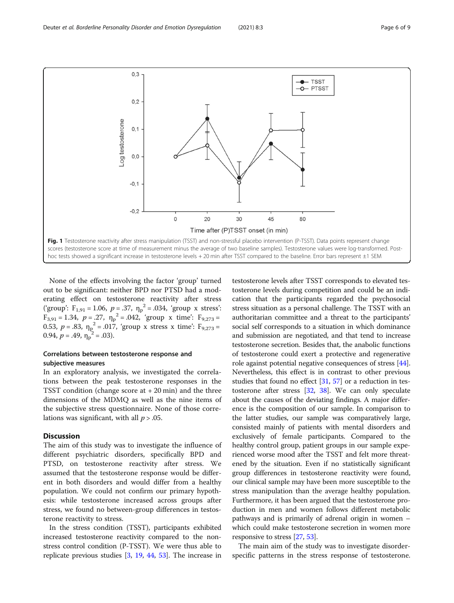None of the effects involving the factor 'group' turned out to be significant: neither BPD nor PTSD had a moderating effect on testosterone reactivity after stress ('group':  $F_{1,91} = 1.06$ ,  $p = .37$ ,  $\eta_p^2 = .034$ , 'group x stress':  $F_{3,91} = 1.34$ ,  $p = .27$ ,  $\eta_p^2 = .042$ , 'group x time':  $F_{9,273} =$ 0.53,  $p = .83$ ,  $\eta_p^2 = .017$ , 'group x stress x time':  $F_{9,273} =$ 0.94,  $p = .49$ ,  $\eta_p^2 = .03$ ).

#### Correlations between testosterone response and subjective measures

In an exploratory analysis, we investigated the correlations between the peak testosterone responses in the TSST condition (change score at  $+20$  min) and the three dimensions of the MDMQ as well as the nine items of the subjective stress questionnaire. None of those correlations was significant, with all  $p > .05$ .

#### **Discussion**

The aim of this study was to investigate the influence of different psychiatric disorders, specifically BPD and PTSD, on testosterone reactivity after stress. We assumed that the testosterone response would be different in both disorders and would differ from a healthy population. We could not confirm our primary hypothesis: while testosterone increased across groups after stress, we found no between-group differences in testosterone reactivity to stress.

In the stress condition (TSST), participants exhibited increased testosterone reactivity compared to the nonstress control condition (P-TSST). We were thus able to replicate previous studies [[3](#page-7-0), [19,](#page-7-0) [44](#page-8-0), [53\]](#page-8-0). The increase in

testosterone levels after TSST corresponds to elevated testosterone levels during competition and could be an indication that the participants regarded the psychosocial stress situation as a personal challenge. The TSST with an authoritarian committee and a threat to the participants' social self corresponds to a situation in which dominance and submission are negotiated, and that tend to increase testosterone secretion. Besides that, the anabolic functions of testosterone could exert a protective and regenerative role against potential negative consequences of stress [[44](#page-8-0)]. Nevertheless, this effect is in contrast to other previous studies that found no effect  $[31, 57]$  $[31, 57]$  $[31, 57]$  $[31, 57]$  $[31, 57]$  or a reduction in testosterone after stress [\[32,](#page-8-0) [38\]](#page-8-0). We can only speculate about the causes of the deviating findings. A major difference is the composition of our sample. In comparison to the latter studies, our sample was comparatively large, consisted mainly of patients with mental disorders and exclusively of female participants. Compared to the healthy control group, patient groups in our sample experienced worse mood after the TSST and felt more threatened by the situation. Even if no statistically significant group differences in testosterone reactivity were found, our clinical sample may have been more susceptible to the stress manipulation than the average healthy population. Furthermore, it has been argued that the testosterone production in men and women follows different metabolic pathways and is primarily of adrenal origin in women – which could make testosterone secretion in women more responsive to stress [[27](#page-7-0), [53\]](#page-8-0).

The main aim of the study was to investigate disorderspecific patterns in the stress response of testosterone.

<span id="page-5-0"></span>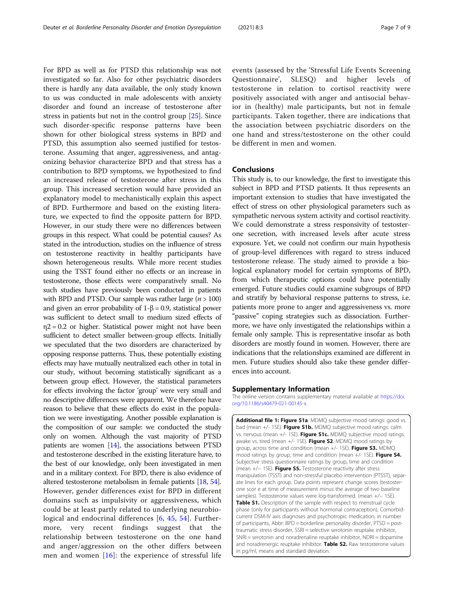<span id="page-6-0"></span>For BPD as well as for PTSD this relationship was not investigated so far. Also for other psychiatric disorders there is hardly any data available, the only study known to us was conducted in male adolescents with anxiety disorder and found an increase of testosterone after stress in patients but not in the control group [[25\]](#page-7-0). Since such disorder-specific response patterns have been shown for other biological stress systems in BPD and PTSD, this assumption also seemed justified for testosterone. Assuming that anger, aggressiveness, and antagonizing behavior characterize BPD and that stress has a contribution to BPD symptoms, we hypothesized to find an increased release of testosterone after stress in this group. This increased secretion would have provided an explanatory model to mechanistically explain this aspect of BPD. Furthermore and based on the existing literature, we expected to find the opposite pattern for BPD. However, in our study there were no differences between groups in this respect. What could be potential causes? As stated in the introduction, studies on the influence of stress on testosterone reactivity in healthy participants have shown heterogeneous results. While more recent studies using the TSST found either no effects or an increase in testosterone, those effects were comparatively small. No such studies have previously been conducted in patients with BPD and PTSD. Our sample was rather large  $(n > 100)$ and given an error probability of  $1-\beta = 0.9$ , statistical power was sufficient to detect small to medium sized effects of  $\eta$ 2 = 0.2 or higher. Statistical power might not have been sufficient to detect smaller between-group effects. Initially we speculated that the two disorders are characterized by opposing response patterns. Thus, these potentially existing effects may have mutually neutralized each other in total in our study, without becoming statistically significant as a between group effect. However, the statistical parameters for effects involving the factor 'group' were very small and no descriptive differences were apparent. We therefore have reason to believe that these effects do exist in the population we were investigating. Another possible explanation is the composition of our sample: we conducted the study only on women. Although the vast majority of PTSD patients are women [\[14\]](#page-7-0), the associations between PTSD and testosterone described in the existing literature have, to the best of our knowledge, only been investigated in men and in a military context. For BPD, there is also evidence of altered testosterone metabolism in female patients [\[18,](#page-7-0) [54](#page-8-0)]. However, gender differences exist for BPD in different domains such as impulsivity or aggressiveness, which could be at least partly related to underlying neurobiological and endocrinal differences [[6,](#page-7-0) [45,](#page-8-0) [54\]](#page-8-0). Furthermore, very recent findings suggest that the relationship between testosterone on the one hand and anger/aggression on the other differs between men and women  $[16]$  $[16]$  $[16]$ : the experience of stressful life

events (assessed by the 'Stressful Life Events Screening Questionnaire', SLESQ) and higher levels of testosterone in relation to cortisol reactivity were positively associated with anger and antisocial behavior in (healthy) male participants, but not in female participants. Taken together, there are indications that the association between psychiatric disorders on the one hand and stress/testosterone on the other could be different in men and women.

#### Conclusions

This study is, to our knowledge, the first to investigate this subject in BPD and PTSD patients. It thus represents an important extension to studies that have investigated the effect of stress on other physiological parameters such as sympathetic nervous system activity and cortisol reactivity. We could demonstrate a stress responsivity of testosterone secretion, with increased levels after acute stress exposure. Yet, we could not confirm our main hypothesis of group-level differences with regard to stress induced testosterone release. The study aimed to provide a biological explanatory model for certain symptoms of BPD, from which therapeutic options could have potentially emerged. Future studies could examine subgroups of BPD and stratify by behavioral response patterns to stress, i.e. patients more prone to anger and aggressiveness vs. more "passive" coping strategies such as dissociation. Furthermore, we have only investigated the relationships within a female only sample. This is representative insofar as both disorders are mostly found in women. However, there are indications that the relationships examined are different in men. Future studies should also take these gender differences into account.

#### Supplementary Information

The online version contains supplementary material available at [https://doi.](https://doi.org/10.1186/s40479-021-00145-x) [org/10.1186/s40479-021-00145-x](https://doi.org/10.1186/s40479-021-00145-x).

Additional file 1: Figure S1a. MDMQ subjective mood ratings: good vs. bad (mean +/- 1SE). Figure S1b. MDMQ subjective mood ratings: calm vs. nervous (mean +/- 1SE). Figure S1c. MDMQ subjective mood ratings: awake vs. tired (mean +/- 1SE). Figure S2. MDMQ mood ratings by group, across time and condition (mean +/- 1SE). Figure S3. MDMQ mood ratings by group, time and condition (mean +/- 1SE). Figure S4. Subjective stress questionnaire ratings by group, time and condition (mean +/− 1SE). Figure S5. Testosterone reactivity after stress manipulation (TSST) and non-stressful placebo intervention (PTSST), separate lines for each group. Data points represent change scores (testosterone scor e at time of measurement minus the average of two baseline samples). Testosterone values were log-transformed. (mean +/- 1SE). Table S1. Description of the sample with respect to menstrual cycle phase (only for participants without hormonal contraception), Comorbidcurrent DSM-IV axis diagnoses and psychotropic medication, in number of participants, Abbr: BPD = borderline personality disorder, PTSD = posttraumatic stress disorder, SSRI = selective serotonin reuptake inhibitor,  $SNRI =$  serotonin and noradrenaline reuptake inhibitor,  $NDRI =$  dopamine and noradrenergic reuptake inhibitor. Table S2. Raw testosterone values in pg/ml, means and standard deviation.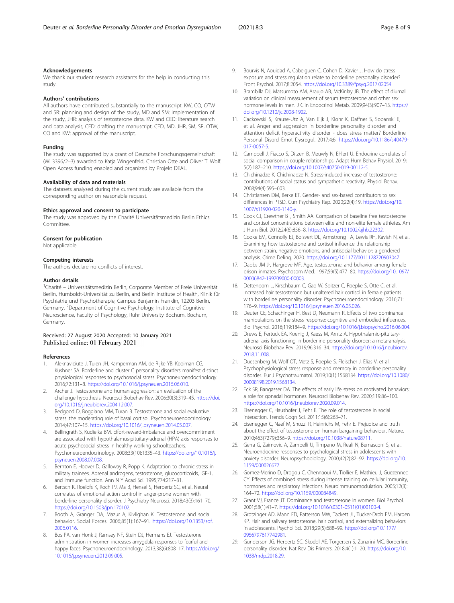#### <span id="page-7-0"></span>Acknowledgements

We thank our student research assistants for the help in conducting this study.

#### Authors' contributions

All authors have contributed substantially to the manuscript. KW, CO, OTW and SR: planning and design of the study, MD and SM: implementation of the study, JHR: analysis of testosterone data, KW and CED: literature search and data analysis, CED: drafting the manuscript, CED, MD, JHR, SM, SR, OTW, CO and KW: approval of the manuscript.

#### Funding

The study was supported by a grant of Deutsche Forschungsgemeinschaft (WI 3396/2–3) awarded to Katja Wingenfeld, Christian Otte and Oliver T. Wolf. Open Access funding enabled and organized by Projekt DEAL.

#### Availability of data and materials

The datasets analysed during the current study are available from the corresponding author on reasonable request.

#### Ethics approval and consent to participate

The study was approved by the Charité Universitätsmedizin Berlin Ethics Committee.

#### Consent for publication

Not applicable.

#### Competing interests

The authors declare no conflicts of interest.

#### Author details

<sup>1</sup>Charité – Universitätsmedizin Berlin, Corporate Member of Freie Universität Berlin, Humboldt-Universität zu Berlin, and Berlin Institute of Health, Klinik für Psychiatrie und Psychotherapie, Campus Benjamin Franklin, 12203 Berlin, Germany. <sup>2</sup>Department of Cognitive Psychology, Institute of Cognitive Neuroscience, Faculty of Psychology, Ruhr University Bochum, Bochum, Germany.

#### Received: 27 August 2020 Accepted: 10 January 2021 Published online: 01 February 2021

#### References

- 1. Aleknaviciute J, Tulen JH, Kamperman AM, de Rijke YB, Kooiman CG, Kushner SA. Borderline and cluster C personality disorders manifest distinct physiological responses to psychosocial stress. Psychoneuroendocrinology. 2016;72:131–8. [https://doi.org/10.1016/j.psyneuen.2016.06.010.](https://doi.org/10.1016/j.psyneuen.2016.06.010)
- 2. Archer J. Testosterone and human aggression: an evaluation of the challenge hypothesis. Neurosci Biobehav Rev. 2006;30(3):319–45. [https://doi.](https://doi.org/10.1016/j.neubiorev.2004.12.007) [org/10.1016/j.neubiorev.2004.12.007.](https://doi.org/10.1016/j.neubiorev.2004.12.007)
- 3. Bedgood D, Boggiano MM, Turan B. Testosterone and social evaluative stress: the moderating role of basal cortisol. Psychoneuroendocrinology. 2014;47:107–15. <https://doi.org/10.1016/j.psyneuen.2014.05.007>.
- Bellingrath S, Kudielka BM. Effort-reward-imbalance and overcommitment are associated with hypothalamus-pituitary-adrenal (HPA) axis responses to acute psychosocial stress in healthy working schoolteachers. Psychoneuroendocrinology. 2008;33(10):1335–43. [https://doi.org/10.1016/j.](https://doi.org/10.1016/j.psyneuen.2008.07.008) [psyneuen.2008.07.008.](https://doi.org/10.1016/j.psyneuen.2008.07.008)
- Bernton E, Hoover D, Galloway R, Popp K. Adaptation to chronic stress in military trainees. Adrenal androgens, testosterone, glucocorticoids, IGF-1, and immune function. Ann N Y Acad Sci. 1995;774:217–31.
- Bertsch K, Roelofs K, Roch PJ, Ma B, Hensel S, Herpertz SC, et al. Neural correlates of emotional action control in anger-prone women with borderline personality disorder. J Psychiatry Neurosci. 2018;43(3):161–70. [https://doi.org/10.1503/jpn.170102.](https://doi.org/10.1503/jpn.170102)
- 7. Booth A, Granger DA, Mazur A, Kivlighan K. Testosterone and social behavior. Social Forces. 2006;85(1):167–91. [https://doi.org/10.1353/sof.](https://doi.org/10.1353/sof.2006.0116) [2006.0116.](https://doi.org/10.1353/sof.2006.0116)
- Bos PA, van Honk J, Ramsey NF, Stein DJ, Hermans EJ. Testosterone administration in women increases amygdala responses to fearful and happy faces. Psychoneuroendocrinology. 2013;38(6):808–17. [https://doi.org/](https://doi.org/10.1016/j.psyneuen.2012.09.005) [10.1016/j.psyneuen.2012.09.005](https://doi.org/10.1016/j.psyneuen.2012.09.005).
- 9. Bourvis N, Aouidad A, Cabelguen C, Cohen D, Xavier J. How do stress exposure and stress regulation relate to borderline personality disorder? Front Psychol. 2017;8:2054. [https://doi.org/10.3389/fpsyg.2017.02054.](https://doi.org/10.3389/fpsyg.2017.02054)
- 10. Brambilla DJ, Matsumoto AM, Araujo AB, McKinlay JB. The effect of diurnal variation on clinical measurement of serum testosterone and other sex hormone levels in men. J Clin Endocrinol Metab. 2009;94(3):907–13. [https://](https://doi.org/10.1210/jc.2008-1902) [doi.org/10.1210/jc.2008-1902](https://doi.org/10.1210/jc.2008-1902).
- 11. Cackowski S, Krause-Utz A, Van Eijk J, Klohr K, Daffner S, Sobanski E, et al. Anger and aggression in borderline personality disorder and attention deficit hyperactivity disorder - does stress matter? Borderline Personal Disord Emot Dysregul. 2017;4:6. [https://doi.org/10.1186/s40479-](https://doi.org/10.1186/s40479-017-0057-5) [017-0057-5](https://doi.org/10.1186/s40479-017-0057-5).
- 12. Campbell J, Fiacco S, Ditzen B, Meuwly N, Ehlert U. Endocrine correlates of social comparison in couple relationships. Adapt Hum Behav Physiol. 2019; 5(2):187–210. [https://doi.org/10.1007/s40750-019-00112-5.](https://doi.org/10.1007/s40750-019-00112-5)
- 13. Chichinadze K, Chichinadze N. Stress-induced increase of testosterone: contributions of social status and sympathetic reactivity. Physiol Behav. 2008;94(4):595–603.
- 14. Christiansen DM, Berke ET. Gender- and sex-based contributors to sex differences in PTSD. Curr Psychiatry Rep. 2020;22(4):19. [https://doi.org/10.](https://doi.org/10.1007/s11920-020-1140-y) [1007/s11920-020-1140-y.](https://doi.org/10.1007/s11920-020-1140-y)
- 15. Cook CJ, Crewther BT, Smith AA. Comparison of baseline free testosterone and cortisol concentrations between elite and non-elite female athletes. Am J Hum Biol. 2012;24(6):856–8. <https://doi.org/10.1002/ajhb.22302>.
- 16. Cooke EM, Connolly EJ, Boisvert DL, Armstrong TA, Lewis RH, Kavish N, et al. Examining how testosterone and cortisol influence the relationship between strain, negative emotions, and antisocial behavior: a gendered analysis. Crime Delinq. 2020. <https://doi.org/10.1177/0011128720903047>.
- 17. Dabbs JM Jr, Hargrove MF. Age, testosterone, and behavior among female prison inmates. Psychosom Med. 1997;59(5):477–80. [https://doi.org/10.1097/](https://doi.org/10.1097/00006842-199709000-00003) [00006842-199709000-00003.](https://doi.org/10.1097/00006842-199709000-00003)
- 18. Dettenborn L, Kirschbaum C, Gao W, Spitzer C, Roepke S, Otte C, et al. Increased hair testosterone but unaltered hair cortisol in female patients with borderline personality disorder. Psychoneuroendocrinology. 2016;71: 176–9. <https://doi.org/10.1016/j.psyneuen.2016.05.026>.
- 19. Deuter CE, Schachinger H, Best D, Neumann R. Effects of two dominance manipulations on the stress response: cognitive and embodied influences. Biol Psychol. 2016;119:184–9. <https://doi.org/10.1016/j.biopsycho.2016.06.004>.
- 20. Drews E, Fertuck EA, Koenig J, Kaess M, Arntz A. Hypothalamic-pituitaryadrenal axis functioning in borderline personality disorder: a meta-analysis. Neurosci Biobehav Rev. 2019;96:316–34. [https://doi.org/10.1016/j.neubiorev.](https://doi.org/10.1016/j.neubiorev.2018.11.008) [2018.11.008.](https://doi.org/10.1016/j.neubiorev.2018.11.008)
- 21. Duesenberg M, Wolf OT, Metz S, Roepke S, Fleischer J, Elias V, et al. Psychophysiological stress response and memory in borderline personality disorder. Eur J Psychotraumatol. 2019;10(1):1568134. [https://doi.org/10.1080/](https://doi.org/10.1080/20008198.2019.1568134) [20008198.2019.1568134.](https://doi.org/10.1080/20008198.2019.1568134)
- 22. Eck SR, Bangasser DA. The effects of early life stress on motivated behaviors: a role for gonadal hormones. Neurosci Biobehav Rev. 2020;119:86–100. [https://doi.org/10.1016/j.neubiorev.2020.09.014.](https://doi.org/10.1016/j.neubiorev.2020.09.014)
- 23. Eisenegger C, Haushofer J, Fehr E. The role of testosterone in social interaction. Trends Cogn Sci. 2011;15(6):263–71.
- 24. Eisenegger C, Naef M, Snozzi R, Heinrichs M, Fehr E. Prejudice and truth about the effect of testosterone on human bargaining behaviour. Nature. 2010;463(7279):356–9. <https://doi.org/10.1038/nature08711>.
- 25. Gerra G, Zaimovic A, Zambelli U, Timpano M, Reali N, Bernasconi S, et al. Neuroendocrine responses to psychological stress in adolescents with anxiety disorder. Neuropsychobiology. 2000;42(2):82–92. [https://doi.org/10.](https://doi.org/10.1159/000026677) [1159/000026677.](https://doi.org/10.1159/000026677)
- 26. Gomez-Merino D, Drogou C, Chennaoui M, Tiollier E, Mathieu J, Guezennec CY. Effects of combined stress during intense training on cellular immunity, hormones and respiratory infections. Neuroimmunomodulation. 2005;12(3): 164–72. [https://doi.org/10.1159/000084849.](https://doi.org/10.1159/000084849)
- 27. Grant VJ, France JT. Dominance and testosterone in women. Biol Psychol. 2001;58(1):41–7. [https://doi.org/10.1016/s0301-0511\(01\)00100-4](https://doi.org/10.1016/s0301-0511(01)00100-4).
- 28. Grotzinger AD, Mann FD, Patterson MW, Tackett JL, Tucker-Drob EM, Harden KP. Hair and salivary testosterone, hair cortisol, and externalizing behaviors in adolescents. Psychol Sci. 2018;29(5):688–99. [https://doi.org/10.1177/](https://doi.org/10.1177/0956797617742981) [0956797617742981](https://doi.org/10.1177/0956797617742981).
- 29. Gunderson JG, Herpertz SC, Skodol AE, Torgersen S, Zanarini MC. Borderline personality disorder. Nat Rev Dis Primers. 2018;4(1):1–20. [https://doi.org/10.](https://doi.org/10.1038/nrdp.2018.29) [1038/nrdp.2018.29](https://doi.org/10.1038/nrdp.2018.29).